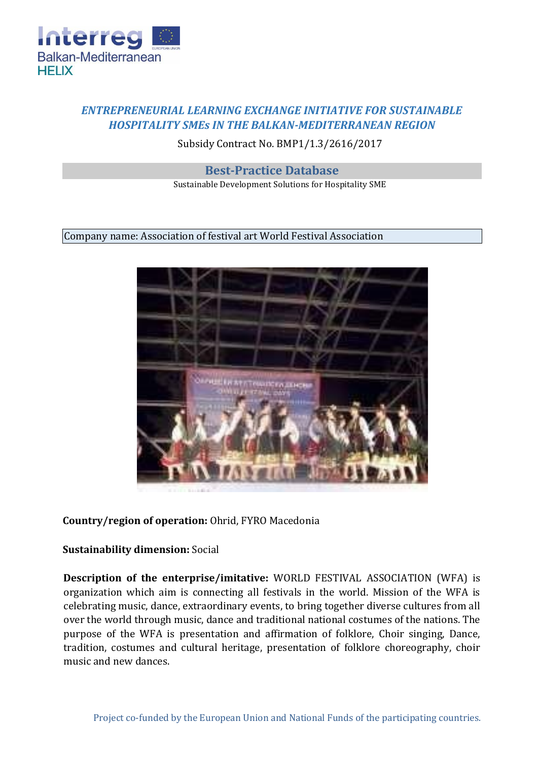

## *ENTREPRENEURIAL LEARNING EXCHANGE INITIATIVE FOR SUSTAINABLE HOSPITALITY SMEs IN THE BALKAN-MEDITERRANEAN REGION*

Subsidy Contract No. BMP1/1.3/2616/2017

**Best-Practice Database** 

Sustainable Development Solutions for Hospitality SME

Company name: Association of festival art World Festival Association



## **Country/region of operation:** Ohrid, FYRO Macedonia

## **Sustainability dimension:** Social

**Description of the enterprise/imitative:** WORLD FESTIVAL ASSOCIATION (WFA) is organization which aim is connecting all festivals in the world. Mission of the WFA is celebrating music, dance, extraordinary events, to bring together diverse cultures from all over the world through music, dance and traditional national costumes of the nations. The purpose of the WFA is presentation and affirmation of folklore, Choir singing, Dance, tradition, costumes and cultural heritage, presentation of folklore choreography, choir music and new dances.